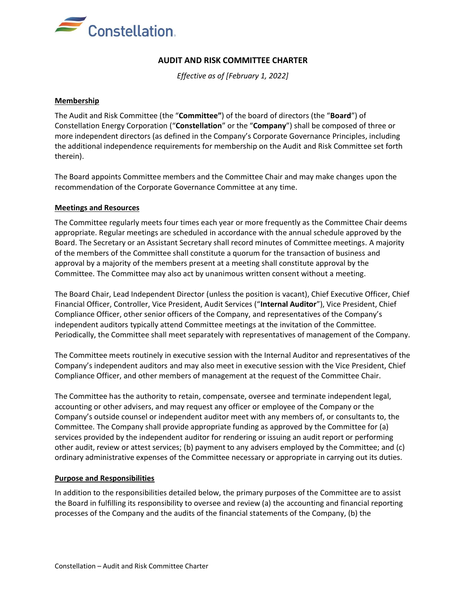

# **AUDIT AND RISK COMMITTEE CHARTER**

*Effective as of [February 1, 2022]*

## **Membership**

The Audit and Risk Committee (the "**Committee"**) of the board of directors (the "**Board**") of Constellation Energy Corporation ("**Constellation**" or the "**Company**") shall be composed of three or more independent directors (as defined in the Company's Corporate Governance Principles, including the additional independence requirements for membership on the Audit and Risk Committee set forth therein).

The Board appoints Committee members and the Committee Chair and may make changes upon the recommendation of the Corporate Governance Committee at any time.

## **Meetings and Resources**

The Committee regularly meets four times each year or more frequently as the Committee Chair deems appropriate. Regular meetings are scheduled in accordance with the annual schedule approved by the Board. The Secretary or an Assistant Secretary shall record minutes of Committee meetings. A majority of the members of the Committee shall constitute a quorum for the transaction of business and approval by a majority of the members present at a meeting shall constitute approval by the Committee. The Committee may also act by unanimous written consent without a meeting.

The Board Chair, Lead Independent Director (unless the position is vacant), Chief Executive Officer, Chief Financial Officer, Controller, Vice President, Audit Services ("**Internal Auditor**"), Vice President, Chief Compliance Officer, other senior officers of the Company, and representatives of the Company's independent auditors typically attend Committee meetings at the invitation of the Committee. Periodically, the Committee shall meet separately with representatives of management of the Company.

The Committee meets routinely in executive session with the Internal Auditor and representatives of the Company's independent auditors and may also meet in executive session with the Vice President, Chief Compliance Officer, and other members of management at the request of the Committee Chair.

The Committee has the authority to retain, compensate, oversee and terminate independent legal, accounting or other advisers, and may request any officer or employee of the Company or the Company's outside counsel or independent auditor meet with any members of, or consultants to, the Committee. The Company shall provide appropriate funding as approved by the Committee for (a) services provided by the independent auditor for rendering or issuing an audit report or performing other audit, review or attest services; (b) payment to any advisers employed by the Committee; and (c) ordinary administrative expenses of the Committee necessary or appropriate in carrying out its duties.

#### **Purpose and Responsibilities**

In addition to the responsibilities detailed below, the primary purposes of the Committee are to assist the Board in fulfilling its responsibility to oversee and review (a) the accounting and financial reporting processes of the Company and the audits of the financial statements of the Company, (b) the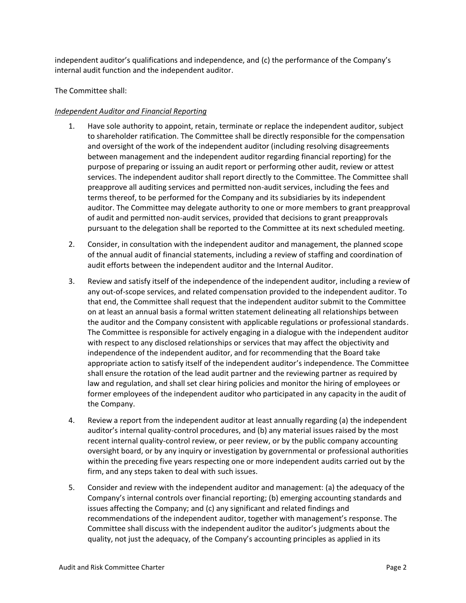independent auditor's qualifications and independence, and (c) the performance of the Company's internal audit function and the independent auditor.

The Committee shall:

# *Independent Auditor and Financial Reporting*

- 1. Have sole authority to appoint, retain, terminate or replace the independent auditor, subject to shareholder ratification. The Committee shall be directly responsible for the compensation and oversight of the work of the independent auditor (including resolving disagreements between management and the independent auditor regarding financial reporting) for the purpose of preparing or issuing an audit report or performing other audit, review or attest services. The independent auditor shall report directly to the Committee. The Committee shall preapprove all auditing services and permitted non-audit services, including the fees and terms thereof, to be performed for the Company and its subsidiaries by its independent auditor. The Committee may delegate authority to one or more members to grant preapproval of audit and permitted non-audit services, provided that decisions to grant preapprovals pursuant to the delegation shall be reported to the Committee at its next scheduled meeting.
- 2. Consider, in consultation with the independent auditor and management, the planned scope of the annual audit of financial statements, including a review of staffing and coordination of audit efforts between the independent auditor and the Internal Auditor.
- 3. Review and satisfy itself of the independence of the independent auditor, including a review of any out-of-scope services, and related compensation provided to the independent auditor. To that end, the Committee shall request that the independent auditor submit to the Committee on at least an annual basis a formal written statement delineating all relationships between the auditor and the Company consistent with applicable regulations or professional standards. The Committee is responsible for actively engaging in a dialogue with the independent auditor with respect to any disclosed relationships or services that may affect the objectivity and independence of the independent auditor, and for recommending that the Board take appropriate action to satisfy itself of the independent auditor's independence. The Committee shall ensure the rotation of the lead audit partner and the reviewing partner as required by law and regulation, and shall set clear hiring policies and monitor the hiring of employees or former employees of the independent auditor who participated in any capacity in the audit of the Company.
- 4. Review a report from the independent auditor at least annually regarding (a) the independent auditor's internal quality-control procedures, and (b) any material issues raised by the most recent internal quality-control review, or peer review, or by the public company accounting oversight board, or by any inquiry or investigation by governmental or professional authorities within the preceding five years respecting one or more independent audits carried out by the firm, and any steps taken to deal with such issues.
- 5. Consider and review with the independent auditor and management: (a) the adequacy of the Company's internal controls over financial reporting; (b) emerging accounting standards and issues affecting the Company; and (c) any significant and related findings and recommendations of the independent auditor, together with management's response. The Committee shall discuss with the independent auditor the auditor's judgments about the quality, not just the adequacy, of the Company's accounting principles as applied in its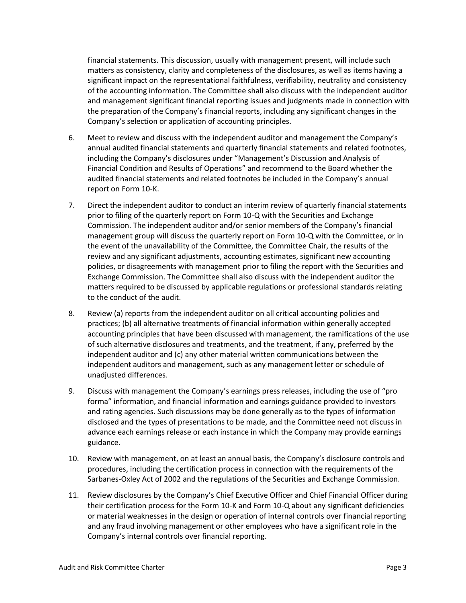financial statements. This discussion, usually with management present, will include such matters as consistency, clarity and completeness of the disclosures, as well as items having a significant impact on the representational faithfulness, verifiability, neutrality and consistency of the accounting information. The Committee shall also discuss with the independent auditor and management significant financial reporting issues and judgments made in connection with the preparation of the Company's financial reports, including any significant changes in the Company's selection or application of accounting principles.

- 6. Meet to review and discuss with the independent auditor and management the Company's annual audited financial statements and quarterly financial statements and related footnotes, including the Company's disclosures under "Management's Discussion and Analysis of Financial Condition and Results of Operations" and recommend to the Board whether the audited financial statements and related footnotes be included in the Company's annual report on Form 10-K.
- 7. Direct the independent auditor to conduct an interim review of quarterly financial statements prior to filing of the quarterly report on Form 10-Q with the Securities and Exchange Commission. The independent auditor and/or senior members of the Company's financial management group will discuss the quarterly report on Form 10-Q with the Committee, or in the event of the unavailability of the Committee, the Committee Chair, the results of the review and any significant adjustments, accounting estimates, significant new accounting policies, or disagreements with management prior to filing the report with the Securities and Exchange Commission. The Committee shall also discuss with the independent auditor the matters required to be discussed by applicable regulations or professional standards relating to the conduct of the audit.
- 8. Review (a) reports from the independent auditor on all critical accounting policies and practices; (b) all alternative treatments of financial information within generally accepted accounting principles that have been discussed with management, the ramifications of the use of such alternative disclosures and treatments, and the treatment, if any, preferred by the independent auditor and (c) any other material written communications between the independent auditors and management, such as any management letter or schedule of unadjusted differences.
- 9. Discuss with management the Company's earnings press releases, including the use of "pro forma" information, and financial information and earnings guidance provided to investors and rating agencies. Such discussions may be done generally as to the types of information disclosed and the types of presentations to be made, and the Committee need not discuss in advance each earnings release or each instance in which the Company may provide earnings guidance.
- 10. Review with management, on at least an annual basis, the Company's disclosure controls and procedures, including the certification process in connection with the requirements of the Sarbanes-Oxley Act of 2002 and the regulations of the Securities and Exchange Commission.
- 11. Review disclosures by the Company's Chief Executive Officer and Chief Financial Officer during their certification process for the Form 10-K and Form 10-Q about any significant deficiencies or material weaknesses in the design or operation of internal controls over financial reporting and any fraud involving management or other employees who have a significant role in the Company's internal controls over financial reporting.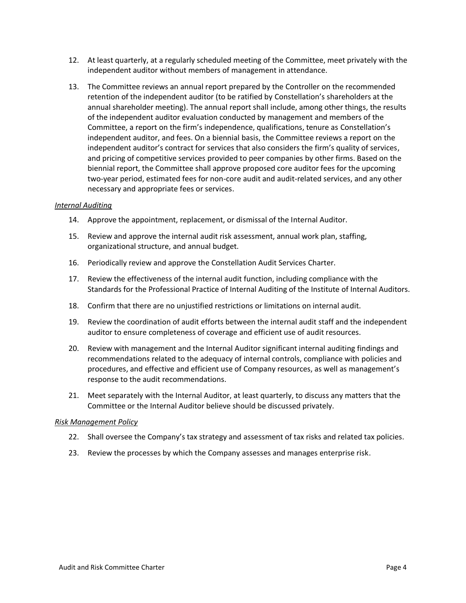- 12. At least quarterly, at a regularly scheduled meeting of the Committee, meet privately with the independent auditor without members of management in attendance.
- 13. The Committee reviews an annual report prepared by the Controller on the recommended retention of the independent auditor (to be ratified by Constellation's shareholders at the annual shareholder meeting). The annual report shall include, among other things, the results of the independent auditor evaluation conducted by management and members of the Committee, a report on the firm's independence, qualifications, tenure as Constellation's independent auditor, and fees. On a biennial basis, the Committee reviews a report on the independent auditor's contract for services that also considers the firm's quality of services, and pricing of competitive services provided to peer companies by other firms. Based on the biennial report, the Committee shall approve proposed core auditor fees for the upcoming two-year period, estimated fees for non-core audit and audit-related services, and any other necessary and appropriate fees or services.

## *Internal Auditing*

- 14. Approve the appointment, replacement, or dismissal of the Internal Auditor.
- 15. Review and approve the internal audit risk assessment, annual work plan, staffing, organizational structure, and annual budget.
- 16. Periodically review and approve the Constellation Audit Services Charter.
- 17. Review the effectiveness of the internal audit function, including compliance with the Standards for the Professional Practice of Internal Auditing of the Institute of Internal Auditors.
- 18. Confirm that there are no unjustified restrictions or limitations on internal audit.
- 19. Review the coordination of audit efforts between the internal audit staff and the independent auditor to ensure completeness of coverage and efficient use of audit resources.
- 20. Review with management and the Internal Auditor significant internal auditing findings and recommendations related to the adequacy of internal controls, compliance with policies and procedures, and effective and efficient use of Company resources, as well as management's response to the audit recommendations.
- 21. Meet separately with the Internal Auditor, at least quarterly, to discuss any matters that the Committee or the Internal Auditor believe should be discussed privately.

#### *Risk Management Policy*

- 22. Shall oversee the Company's tax strategy and assessment of tax risks and related tax policies.
- 23. Review the processes by which the Company assesses and manages enterprise risk.